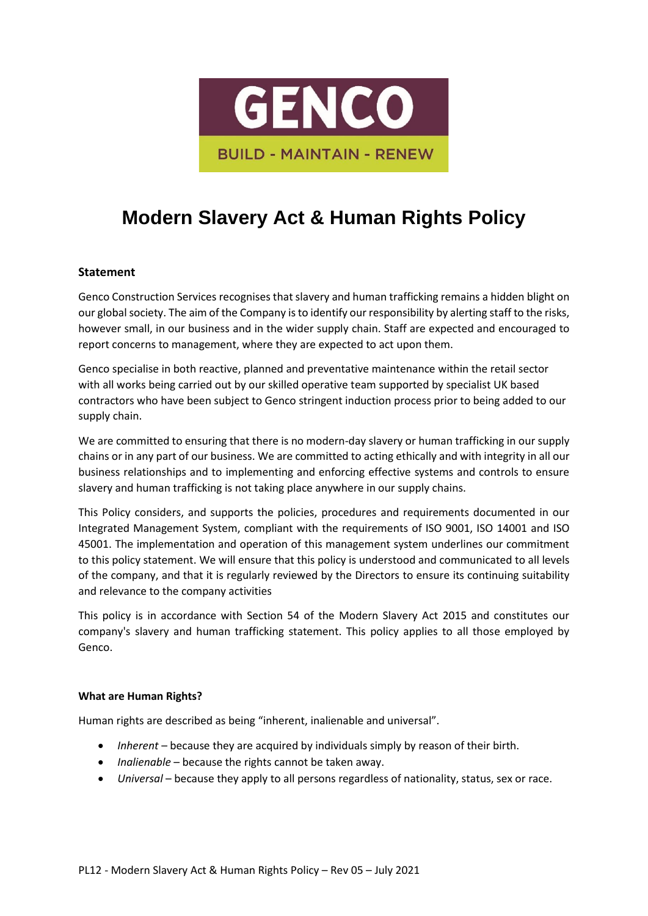

# **Modern Slavery Act & Human Rights Policy**

## **Statement**

Genco Construction Services recognises that slavery and human trafficking remains a hidden blight on our global society. The aim of the Company is to identify our responsibility by alerting staff to the risks, however small, in our business and in the wider supply chain. Staff are expected and encouraged to report concerns to management, where they are expected to act upon them.

Genco specialise in both reactive, planned and preventative maintenance within the retail sector with all works being carried out by our skilled operative team supported by specialist UK based contractors who have been subject to Genco stringent induction process prior to being added to our supply chain.

We are committed to ensuring that there is no modern-day slavery or human trafficking in our supply chains or in any part of our business. We are committed to acting ethically and with integrity in all our business relationships and to implementing and enforcing effective systems and controls to ensure slavery and human trafficking is not taking place anywhere in our supply chains.

This Policy considers, and supports the policies, procedures and requirements documented in our Integrated Management System, compliant with the requirements of ISO 9001, ISO 14001 and ISO 45001. The implementation and operation of this management system underlines our commitment to this policy statement. We will ensure that this policy is understood and communicated to all levels of the company, and that it is regularly reviewed by the Directors to ensure its continuing suitability and relevance to the company activities

This policy is in accordance with Section 54 of the Modern Slavery Act 2015 and constitutes our company's slavery and human trafficking statement. This policy applies to all those employed by Genco.

### **What are Human Rights?**

Human rights are described as being "inherent, inalienable and universal".

- *Inherent* because they are acquired by individuals simply by reason of their birth.
- *Inalienable* because the rights cannot be taken away.
- *Universal* because they apply to all persons regardless of nationality, status, sex or race.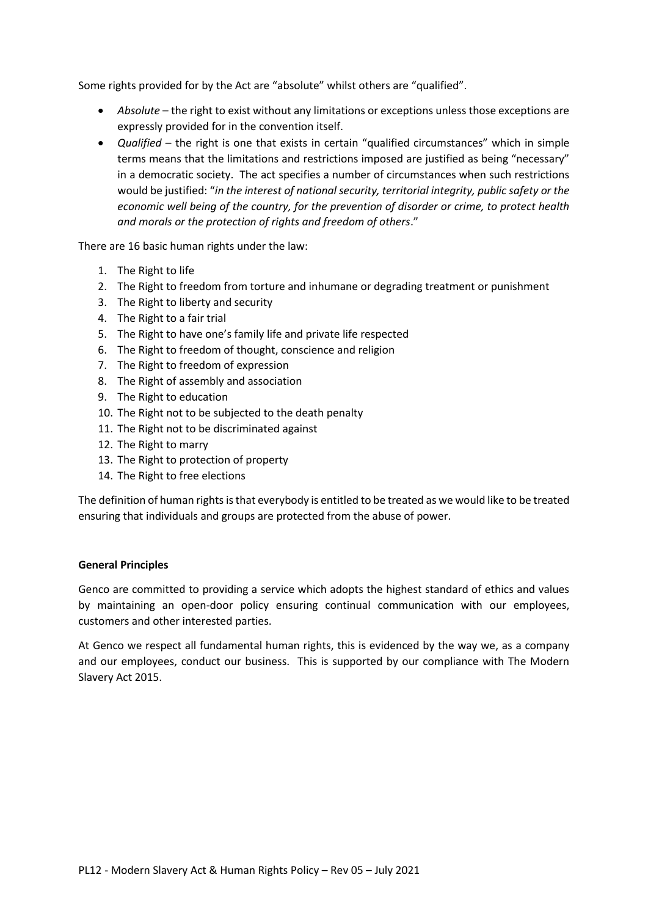Some rights provided for by the Act are "absolute" whilst others are "qualified".

- *Absolute* the right to exist without any limitations or exceptions unless those exceptions are expressly provided for in the convention itself.
- *Qualified* the right is one that exists in certain "qualified circumstances" which in simple terms means that the limitations and restrictions imposed are justified as being "necessary" in a democratic society. The act specifies a number of circumstances when such restrictions would be justified: "*in the interest of national security, territorial integrity, public safety or the economic well being of the country, for the prevention of disorder or crime, to protect health and morals or the protection of rights and freedom of others*."

There are 16 basic human rights under the law:

- 1. The Right to life
- 2. The Right to freedom from torture and inhumane or degrading treatment or punishment
- 3. The Right to liberty and security
- 4. The Right to a fair trial
- 5. The Right to have one's family life and private life respected
- 6. The Right to freedom of thought, conscience and religion
- 7. The Right to freedom of expression
- 8. The Right of assembly and association
- 9. The Right to education
- 10. The Right not to be subjected to the death penalty
- 11. The Right not to be discriminated against
- 12. The Right to marry
- 13. The Right to protection of property
- 14. The Right to free elections

The definition of human rights is that everybody is entitled to be treated as we would like to be treated ensuring that individuals and groups are protected from the abuse of power.

### **General Principles**

Genco are committed to providing a service which adopts the highest standard of ethics and values by maintaining an open-door policy ensuring continual communication with our employees, customers and other interested parties.

At Genco we respect all fundamental human rights, this is evidenced by the way we, as a company and our employees, conduct our business. This is supported by our compliance with The Modern Slavery Act 2015.